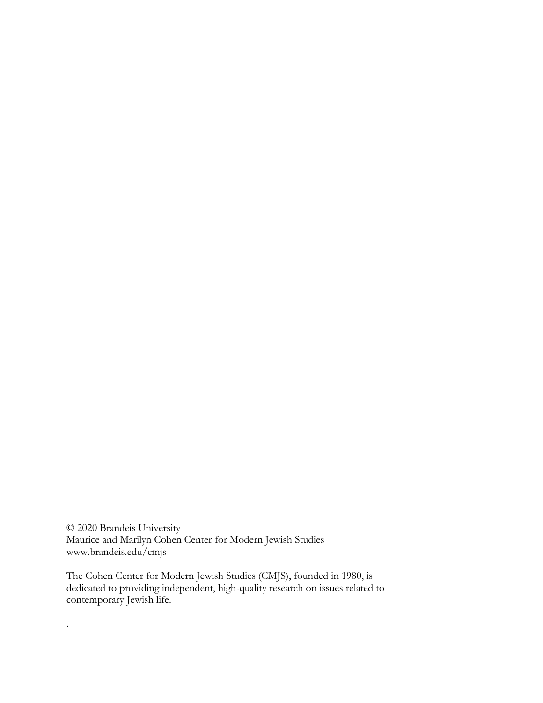© 2020 Brandeis University Maurice and Marilyn Cohen Center for Modern Jewish Studies www.brandeis.edu/cmjs

.

The Cohen Center for Modern Jewish Studies (CMJS), founded in 1980, is dedicated to providing independent, high-quality research on issues related to contemporary Jewish life.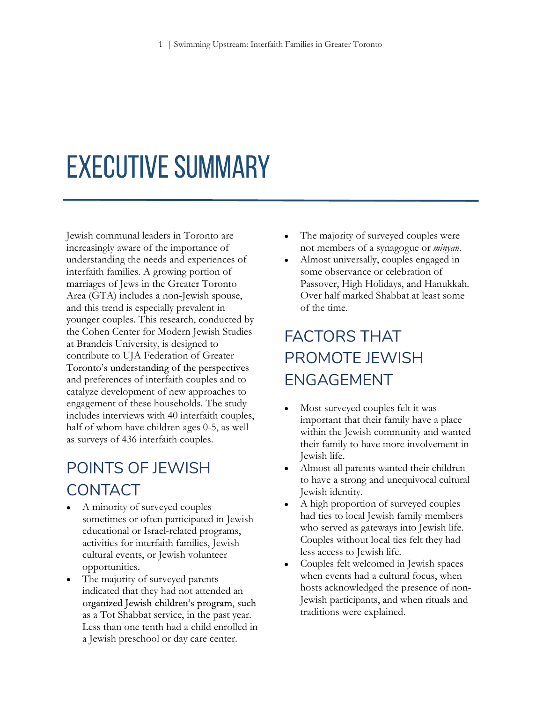# **EXECUTIVE SUMMARY**

Jewish communal leaders in Toronto are increasingly aware of the importance of understanding the needs and experiences of interfaith families. A growing portion of marriages of Jews in the Greater Toronto Area (GTA) includes a non-Jewish spouse, and this trend is especially prevalent in younger couples. This research, conducted by the Cohen Center for Modern Jewish Studies at Brandeis University, is designed to contribute to UJA Federation of Greater Toronto's understanding of the perspectives and preferences of interfaith couples and to catalyze development of new approaches to engagement of these households. The study includes interviews with 40 interfaith couples, half of whom have children ages 0-5, as well as surveys of 436 interfaith couples.

## POINTS OF JEWISH CONTACT

- A minority of surveyed couples sometimes or often participated in Jewish educational or Israel-related programs, activities for interfaith families, Jewish cultural events, or Jewish volunteer opportunities.
- The majority of surveyed parents  $\bullet$ indicated that they had not attended an organized Jewish children's program, such as a Tot Shabbat service, in the past year. Less than one tenth had a child enrolled in a Jewish preschool or day care center.
- The majority of surveyed couples were not members of a synagogue or minyan.
- Almost universally, couples engaged in some observance or celebration of Passover, High Holidays, and Hanukkah. Over half marked Shabbat at least some of the time.

## FACTORS THAT PROMOTE JEWISH ENGAGEMENT

- Most surveyed couples felt it was important that their family have a place within the Jewish community and wanted their family to have more involvement in Jewish life.
- Almost all parents wanted their children to have a strong and unequivocal cultural Jewish identity.
- A high proportion of surveyed couples had ties to local Jewish family members who served as gateways into Jewish life. Couples without local ties felt they had less access to Jewish life.
- Couples felt welcomed in Jewish spaces when events had a cultural focus, when hosts acknowledged the presence of non-Jewish participants, and when rituals and traditions were explained.